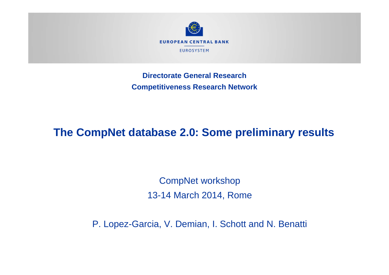

**Directorate General ResearchCompetitiveness Research Network**

## **The CompNet database 2.0: Some preliminary results**

CompNet workshop 13-14 March 2014, Rome

P. Lopez-Garcia, V. Demian, I. Schott and N. Benatti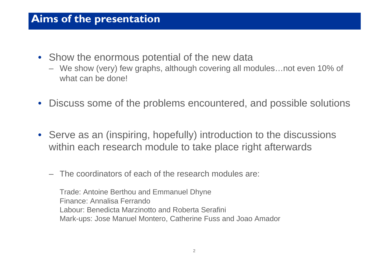#### **Aims of the presentation**

- Show the enormous potential of the new data
	- We show (very) few graphs, although covering all modules…not even 10% of what can be done!
- Discuss some of the problems encountered, and possible solutions
- Serve as an (inspiring, hopefully) introduction to the discussions within each research module to take place right afterwards
	- –The coordinators of each of the research modules are:

Trade: Antoine Berthou and Emmanuel Dhyne Finance: Annalisa FerrandoLabour: Benedicta Marzinotto and Roberta Serafini Mark-ups: Jose Manuel Montero, Catherine Fuss and Joao Amador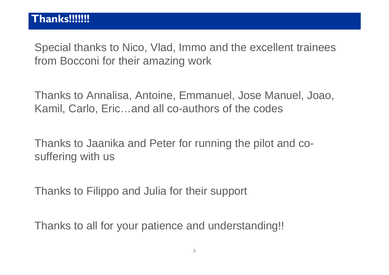Special thanks to Nico, Vlad, Immo and the excellent trainees from Bocconi for their amazing work

Thanks to Annalisa, Antoine, Emmanuel, Jose Manuel, Joao, Kamil, Carlo, Eric…and all co-authors of the codes

Thanks to Jaanika and Peter for running the pilot and cosuffering with us

Thanks to Filippo and Julia for their support

Thanks to all for your patience and understanding!!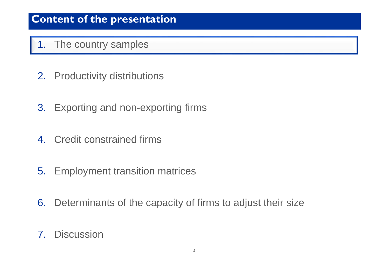#### 1. The country samples

- 2. Productivity distributions
- 3. Exporting and non-exporting firms
- 4. Credit constrained firms
- 5. Employment transition matrices
- 6. Determinants of the capacity of firms to adjust their size
- 7. Discussion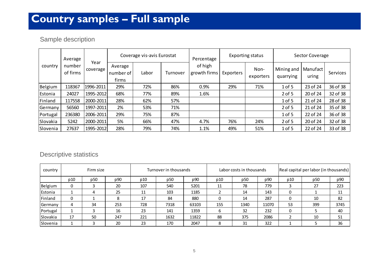## **Country samples – Full sample**

#### Sample description

| Average<br>number<br>country<br>of firms |                  |                               | Coverage vis-avis Eurostat |          |                         | Percentage | Exporting status  |                         | Sector Coverage   |          |          |
|------------------------------------------|------------------|-------------------------------|----------------------------|----------|-------------------------|------------|-------------------|-------------------------|-------------------|----------|----------|
|                                          | Year<br>coverage | Average<br>number of<br>firms | Labor                      | Turnover | of high<br>growth firms | Exporters  | Non-<br>exporters | Mining and<br>quarrying | Manufact<br>uring | Services |          |
| Belgium                                  | 118367           | 1996-2011                     | 29%                        | 72%      | 86%                     | 0.9%       | 29%               | 71%                     | 1 of 5            | 23 of 24 | 36 of 38 |
| Estonia                                  | 24027            | 1995-2012                     | 68%                        | 77%      | 89%                     | 1.6%       |                   |                         | $2$ of 5          | 20 of 24 | 32 of 38 |
| Finland                                  | 117558           | 2000-2011                     | 28%                        | 62%      | 57%                     |            |                   |                         | 1 of 5            | 21 of 24 | 28 of 38 |
| Germany                                  | 56560            | 1997-2011                     | 2%                         | 53%      | 71%                     |            |                   |                         | $2$ of 5          | 21 of 24 | 35 of 38 |
| Portugal                                 | 236380           | 2006-2011                     | 29%                        | 75%      | 87%                     |            |                   |                         | 1 of 5            | 22 of 24 | 36 of 38 |
| Slovakia                                 | 5242             | 2000-2011                     | 5%                         | 66%      | 47%                     | 4.7%       | 76%               | 24%                     | $2$ of 5          | 20 of 24 | 32 of 38 |
| Slovenia                                 | 27637            | 1995-2012                     | 28%                        | 79%      | 74%                     | 1.1%       | 49%               | 51%                     | $1$ of 5          | 22 of 24 | 33 of 38 |

#### Descriptive statistics

| country  | Firm size |                 | Turnover in thousands |     |      | Labor costs in thousands |     |      | Real capital per labor (in thousands) |     |     |      |
|----------|-----------|-----------------|-----------------------|-----|------|--------------------------|-----|------|---------------------------------------|-----|-----|------|
|          | p10       | p <sub>50</sub> | p90                   | p10 | p50  | p90                      | p10 | p50  | p90                                   | p10 | p50 | p90  |
| Belgium  |           |                 | 20                    | 107 | 540  | 5201                     | 11  | 78   | 779                                   |     | 27  | 223  |
| Estonia  |           | 4               | 25                    | 11  | 103  | 1185                     |     | 14   | 143                                   |     |     | 11   |
| Finland  |           |                 | Ω                     | 17  | 84   | 880                      |     | 14   | 287                                   |     | 10  | 82   |
| Germany  | 4         | 34              | 253                   | 728 | 7318 | 63103                    | 155 | 1340 | 11070                                 | 53  | 399 | 3745 |
| Portugal |           |                 | 16                    | 23  | 141  | 1359                     | h   | 32   | 232                                   |     |     | 40   |
| Slovakia | 17        | 50              | 247                   | 221 | 1632 | 11822                    | 88  | 375  | 2086                                  |     | 10  | 51   |
| Slovenia |           |                 | 20                    | 23  | 170  | 2047                     | 8   | 31   | 322                                   |     |     | 36   |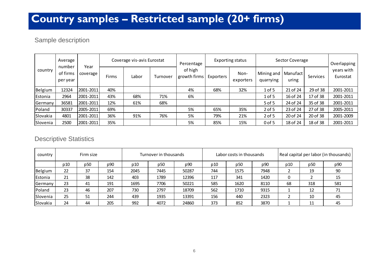## **Country samples – Restricted sample (20+ firms)**

#### Sample description

| number<br>country | Average              | Year<br>coverage | Coverage vis-avis Eurostat |       |          | Percentage              | Exporting status |                   | Sector Coverage         |                   |          | Overlapping            |
|-------------------|----------------------|------------------|----------------------------|-------|----------|-------------------------|------------------|-------------------|-------------------------|-------------------|----------|------------------------|
|                   | of firms<br>per year |                  | Firms                      | Labor | Turnover | of high<br>growth firms | Exporters        | Non-<br>exporters | Mining and<br>quarrying | Manufact<br>uring | Services | years with<br>Eurostat |
| Belgium           | 12324                | 2001-2011        | 40%                        |       |          | 4%                      | 68%              | 32%               | $1$ of 5                | 21 of 24          | 29 of 38 | 2001-2011              |
| Estonia           | 2964                 | 2001-2011        | 43%                        | 68%   | 71%      | 6%                      |                  |                   | $1$ of 5                | 16 of 24          | 17 of 38 | 2001-2011              |
| Germany           | 36581                | 2001-2011        | 12%                        | 61%   | 68%      |                         |                  |                   | 5 of 5                  | 24 of 24          | 35 of 38 | 2001-2011              |
| Poland            | 30337                | 2005-2011        | 69%                        |       |          | 5%                      | 65%              | 35%               | $2$ of 5                | 23 of 24          | 27 of 38 | 2005-2011              |
| Slovakia          | 4801                 | 2001-2011        | 36%                        | 91%   | 76%      | 5%                      | 79%              | 21%               | $2$ of 5                | 20 of 24          | 20 of 38 | 2001-2009              |
| Slovenia          | 2500                 | 2001-2011        | 35%                        |       |          | 5%                      | 85%              | 15%               | $0$ of 5                | 18 of 24          | 18 of 38 | 2001-2011              |

#### Descriptive Statistics

| country  | Firm size |     |     | Turnover in thousands |      |       | Labor costs in thousands |                 |      | Real capital per labor (in thousands) |     |     |
|----------|-----------|-----|-----|-----------------------|------|-------|--------------------------|-----------------|------|---------------------------------------|-----|-----|
|          | p10       | p50 | p90 | p10                   | p50  | p90   | p10                      | p <sub>50</sub> | p90  | p10                                   | p50 | p90 |
| Belgium  | 22        | 37  | 154 | 2045                  | 7445 | 50287 | 744                      | 1575            | 7948 |                                       | 19  | 90  |
| Estonia  | 21        | 38  | 142 | 403                   | 1789 | 12396 | 117                      | 341             | 1420 |                                       |     | 15  |
| Germany  | 23        | 41  | 191 | 1695                  | 7706 | 50221 | 585                      | 1620            | 8110 | 68                                    | 318 | 581 |
| Poland   | 23        | 46  | 207 | 730                   | 2797 | 18709 | 562                      | 1710            | 9315 |                                       | 12  | 71  |
| Slovenia | 25        | 51  | 244 | 439                   | 1935 | 13391 | 156                      | 440             | 2323 |                                       | 10  | 45  |
| Slovakia | 24        | 44  | 205 | 992                   | 4072 | 24860 | 373                      | 852             | 3870 |                                       | 11  | 45  |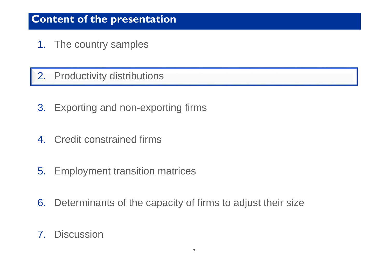- 1. The country samples
- 2. Productivity distributions
- 3. Exporting and non-exporting firms
- 4. Credit constrained firms
- 5. Employment transition matrices
- 6. Determinants of the capacity of firms to adjust their size
- 7. Discussion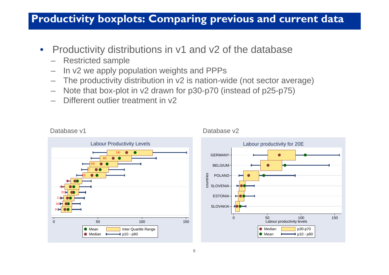#### **Productivity boxplots: Comparing previous and current dat a**

- $\bullet$  Productivity distributions in v1 and v2 of the database
	- –Restricted sample
	- –In v2 we apply population weights and PPPs
	- –The productivity distribution in v2 is nation-wide (not sector average)
	- –Note that box-plot in v2 drawn for p30-p70 (instead of p25-p75)
	- Different outlier treatment in v2



#### Database v<sub>2</sub>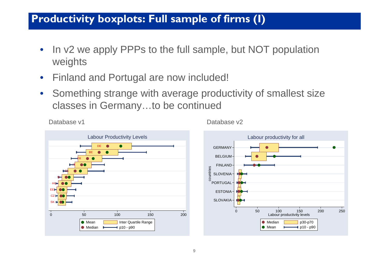## **Productivity boxplots: Full sample of firms (I)**

- • In v2 we apply PPPs to the full sample, but NOT population weights
- $\bullet$ Finland and Portugal are now included!

Database v1

 $\bullet$  Something strange with average productivity of smallest size classes in Germany…to be continued



Database v2

Labour productivity levels

Mean  $\longleftarrow$  p10 - p90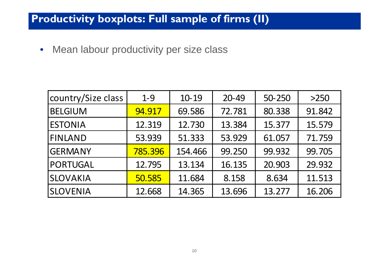## **Productivity boxplots: Full sample of firms (II)**

• Mean labour productivity per size class

| country/Size class | $1 - 9$ | 10-19   | 20-49  | 50-250 | >250   |
|--------------------|---------|---------|--------|--------|--------|
| <b>BELGIUM</b>     | 94.917  | 69.586  | 72.781 | 80.338 | 91.842 |
| <b>ESTONIA</b>     | 12.319  | 12.730  | 13.384 | 15.377 | 15.579 |
| <b>FINLAND</b>     | 53.939  | 51.333  | 53.929 | 61.057 | 71.759 |
| <b>GERMANY</b>     | 785.396 | 154.466 | 99.250 | 99.932 | 99.705 |
| <b>PORTUGAL</b>    | 12.795  | 13.134  | 16.135 | 20.903 | 29.932 |
| <b>SLOVAKIA</b>    | 50.585  | 11.684  | 8.158  | 8.634  | 11.513 |
| <b>SLOVENIA</b>    | 12.668  | 14.365  | 13.696 | 13.277 | 16.206 |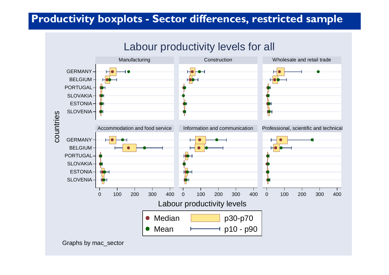## **Productivity boxplots - Sector differences, restricted sample**

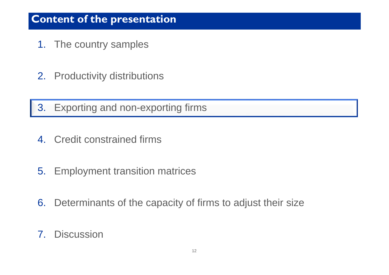- 1. The country samples
- 2. Productivity distributions
- 3. Exporting and non-exporting firms
- 4. Credit constrained firms
- 5. Employment transition matrices
- 6. Determinants of the capacity of firms to adjust their size
- 7. Discussion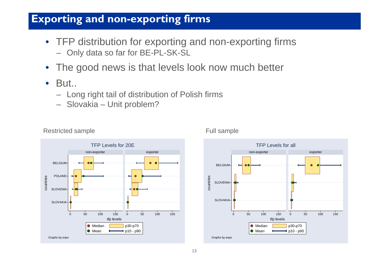## **Exporting and non-exporting firms**

- TFP distribution for exporting and non-exporting firms – Only data so far for BE-PL-SK-SL
- •The good news is that levels look now much better
- $\bullet$ But..

Restricted sample

- Long right tail of distribution of Polish firms
- Slovakia Unit problem?





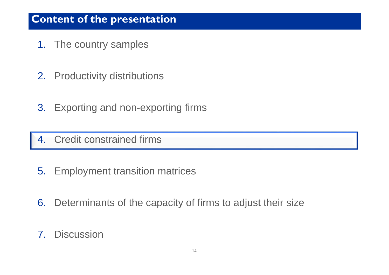- 1. The country samples
- 2. Productivity distributions
- 3. Exporting and non-exporting firms

#### 4. Credit constrained firms

- 5. Employment transition matrices
- 6. Determinants of the capacity of firms to adjust their size
- 7. Discussion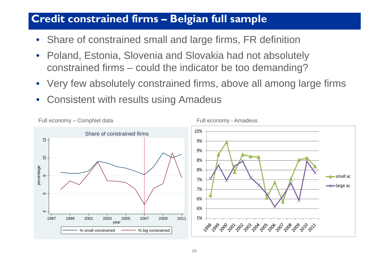#### **Credit constrained firms –Belgian full sample**

- Share of constrained small and large firms, FR definition
- • Poland, Estonia, Slovenia and Slovakia had not absolutely constrained firms – could the indicator be too demanding?
- Very few absolutely constrained firms, above all among large firms
- •Consistent with results using Amadeus

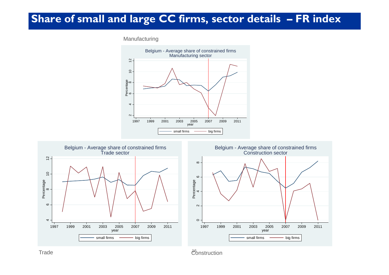#### **Share of small and large CC firms, sector details – FR index**

#### Manufacturing







e de la construction de la construction de la construction de la construction de la construction de la construction de la construction de la construction de la construction de la construction de la construction de la const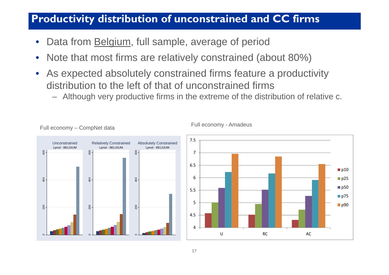## **Productivity distribution of unconstrained and CC firms**

- •Data from Belgium, full sample, average of period
- $\bullet$ Note that most firms are relatively constrained (about 80%)
- • As expected absolutely constrained firms feature a productivity distribution to the left of that of unconstrained firms
	- –Although very productive firms in the extreme of the distribution of relative c.

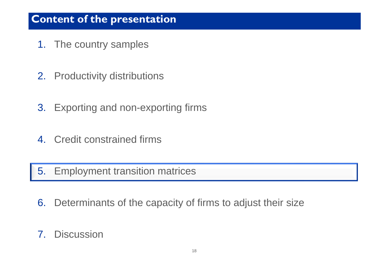- 1. The country samples
- 2. Productivity distributions
- 3. Exporting and non-exporting firms
- 4. Credit constrained firms

5. Employment transition matrices

- 6. Determinants of the capacity of firms to adjust their size
- 7. Discussion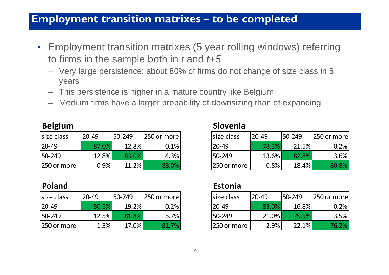#### **Employment transition matrixes –to be completed**

- Employment transition matrixes (5 year rolling windows) referring to firms in the sample both in *t* and *t+5*
	- Very large persistence: about 80% of firms do not change of size class in 5 years
	- This persistence is higher in a mature country like Belgium
	- Medium firms have a larger probability of downsizing than of expanding

| size class   | $20 - 49$ | 50-249 | 250 or more | size class  | $20 - 49$ | 50-249 | 250 or more |
|--------------|-----------|--------|-------------|-------------|-----------|--------|-------------|
| $ 20-49 $    | 87.0%     | 12.8%  | $0.1\%$     | '20-49      | 78.3%     | 21.5%  | $0.2\%$     |
| $ 50 - 249 $ | $12.8\%$  | 83.0%  | 4.3%        | 150-249     | 13.6%     | 82.8%  | 3.6%        |
| 250 or more  | 0.9%      | 11.2%  | 88.0%       | 250 or more | 0.8%      | 18.4%  | 80.8%       |

| size class  | $20 - 49$ | 50-249 | 250 or more | size class  | $20 - 49$ | 50-249 | 250 or more |
|-------------|-----------|--------|-------------|-------------|-----------|--------|-------------|
| 20-49       | 80.5%     | 19.2%  | 0.2%        | $20-49$     | 83.0%     | 16.8%  | $0.2\%$     |
| 50-249      | 12.5%     | 81.8%  | 5.7%        | 50-249      | 21.0%     | 75.5%  | 3.5%        |
| 250 or more | 1.3%      | 17.0%  | 7%<br>81    | 250 or more | 2.9%      | 22.1%  | 76.2%       |

#### **Belgium Slovenia**

| e class:  | $20 - 49$ | 50-249   | [250 or more] | size class  | $20 - 49$ | 50-249 | 1250 or morel |
|-----------|-----------|----------|---------------|-------------|-----------|--------|---------------|
| -49       | 87.0%     | 12.8%    | 0.1%          | $20 - 49$   | 78.3%     | 21.5%  | 0.2%          |
| $-249$    | 12.8%     | 83.0%    | 4.3%          | 50-249      | 13.6%     | 82.8%  | 3.6%          |
| 0 or more | $0.9\%$   | $11.2\%$ | 88.0%         | 250 or more | 0.8%      | 18.4%  | 80.8%         |

#### **Poland Estonia**

| e class:  | 20-49 | 50-249 | [250 or more] | size class  | $ 20 - 49$ | 50-249 | 1250 or more |
|-----------|-------|--------|---------------|-------------|------------|--------|--------------|
| -49       | 80.5% | 19.2%  | 0.2%          | 20-49       | 83.0%      | 16.8%  | 0.2%         |
| $-249$    | 12.5% | 81.8%  | 5.7%          | 50-249      | $21.0\%$   | 75.5%  | 3.5%         |
| 0 or more | 1.3%  | 17.0%  | 7%            | 250 or more | 2.9%       | 22.1%  | 76.2%        |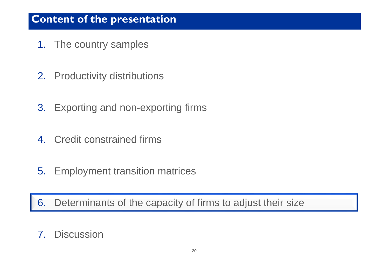- 1. The country samples
- 2. Productivity distributions
- 3. Exporting and non-exporting firms
- 4. Credit constrained firms
- 5. Employment transition matrices

6. Determinants of the capacity of firms to adjust their size

## 7. Discussion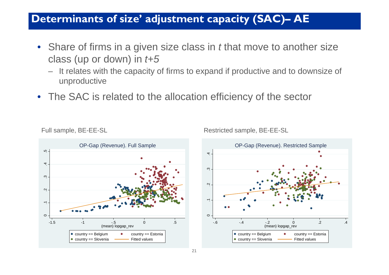#### **Determinants of size' adjustment capacity (SAC) – AE**

- Share of firms in a given size class in *t* that move to another size class (up or down) in *t+5*
	- It relates with the capacity of firms to expand if productive and to downsize of unproductive
- The SAC is related to the allocation efficiency of the sector





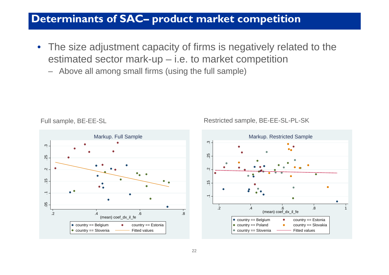#### **Determinants of SAC– product market competition**

- The size adjustment capacity of firms is negatively related to the estimated sector mark-up – i.e. to market competition
	- Above all among small firms (using the full sample)





Full sample, BE-EE-SL Restricted sample, BE-EE-SL-PL-SK

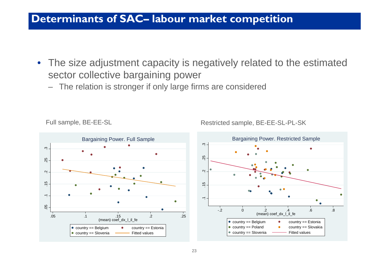#### **Determinants of SAC– labour market competition**

- The size adjustment capacity is negatively related to the estimated sector collective bargaining power
	- The relation is stronger if only large firms are considered



Full sample, BE-EE-SL Restricted sample, BE-EE-SL-PL-SK

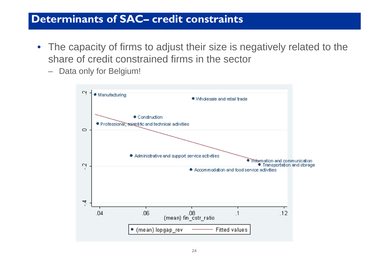#### **Determinants of SAC– credit constraints**

- The capacity of firms to adjust their size is negatively related to the share of credit constrained firms in the sector
	- Data only for Belgium!

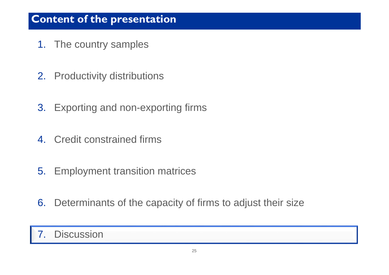- 1. The country samples
- 2. Productivity distributions
- 3. Exporting and non-exporting firms
- 4. Credit constrained firms
- 5. Employment transition matrices
- 6. Determinants of the capacity of firms to adjust their size

#### 7.Discussion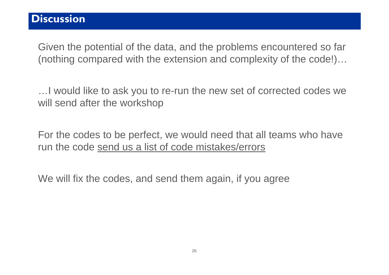#### **Discussion**

Given the potential of the data, and the problems encountered so far (nothing compared with the extension and complexity of the code!)…

…I would like to ask you to re-run the new set of corrected codes we will send after the workshop

For the codes to be perfect, we would need that all teams who have run the code send us a list of code mistakes/errors

We will fix the codes, and send them again, if you agree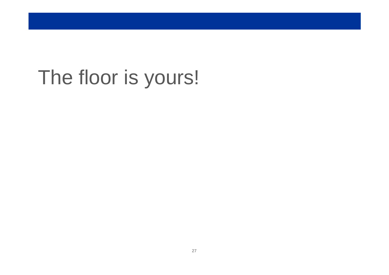# The floor is yours!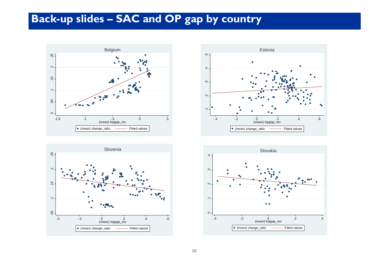## **Back-up slides – SAC and OP gap by country**







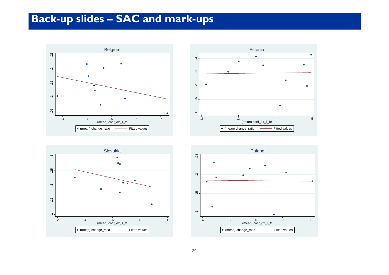## **Back-up slides – SAC and mark-ups**